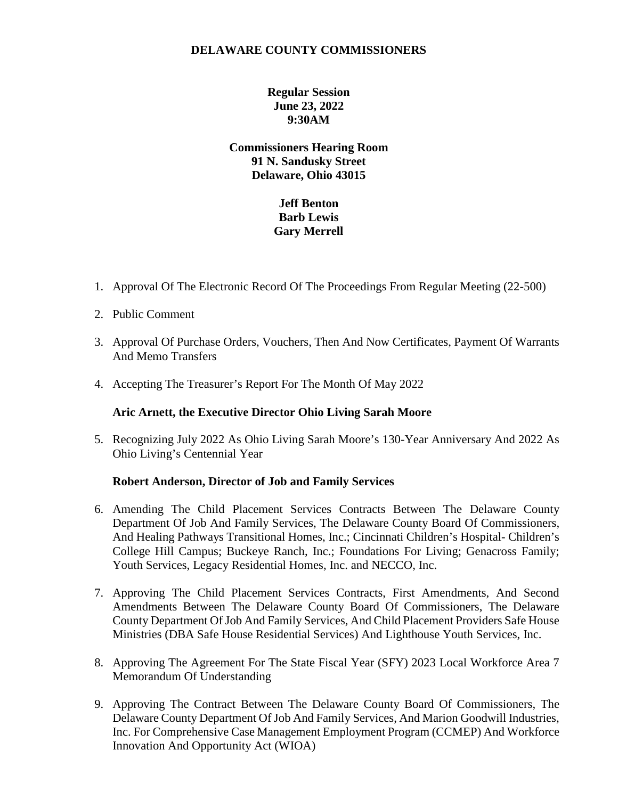## **DELAWARE COUNTY COMMISSIONERS**

**Regular Session June 23, 2022 9:30AM**

**Commissioners Hearing Room 91 N. Sandusky Street Delaware, Ohio 43015**

# **Jeff Benton Barb Lewis Gary Merrell**

- 1. Approval Of The Electronic Record Of The Proceedings From Regular Meeting (22-500)
- 2. Public Comment
- 3. Approval Of Purchase Orders, Vouchers, Then And Now Certificates, Payment Of Warrants And Memo Transfers
- 4. Accepting The Treasurer's Report For The Month Of May 2022

### **Aric Arnett, the Executive Director Ohio Living Sarah Moore**

5. Recognizing July 2022 As Ohio Living Sarah Moore's 130-Year Anniversary And 2022 As Ohio Living's Centennial Year

### **Robert Anderson, Director of Job and Family Services**

- 6. Amending The Child Placement Services Contracts Between The Delaware County Department Of Job And Family Services, The Delaware County Board Of Commissioners, And Healing Pathways Transitional Homes, Inc.; Cincinnati Children's Hospital- Children's College Hill Campus; Buckeye Ranch, Inc.; Foundations For Living; Genacross Family; Youth Services, Legacy Residential Homes, Inc. and NECCO, Inc.
- 7. Approving The Child Placement Services Contracts, First Amendments, And Second Amendments Between The Delaware County Board Of Commissioners, The Delaware County Department Of Job And Family Services, And Child Placement Providers Safe House Ministries (DBA Safe House Residential Services) And Lighthouse Youth Services, Inc.
- 8. Approving The Agreement For The State Fiscal Year (SFY) 2023 Local Workforce Area 7 Memorandum Of Understanding
- 9. Approving The Contract Between The Delaware County Board Of Commissioners, The Delaware County Department Of Job And Family Services, And Marion Goodwill Industries, Inc. For Comprehensive Case Management Employment Program (CCMEP) And Workforce Innovation And Opportunity Act (WIOA)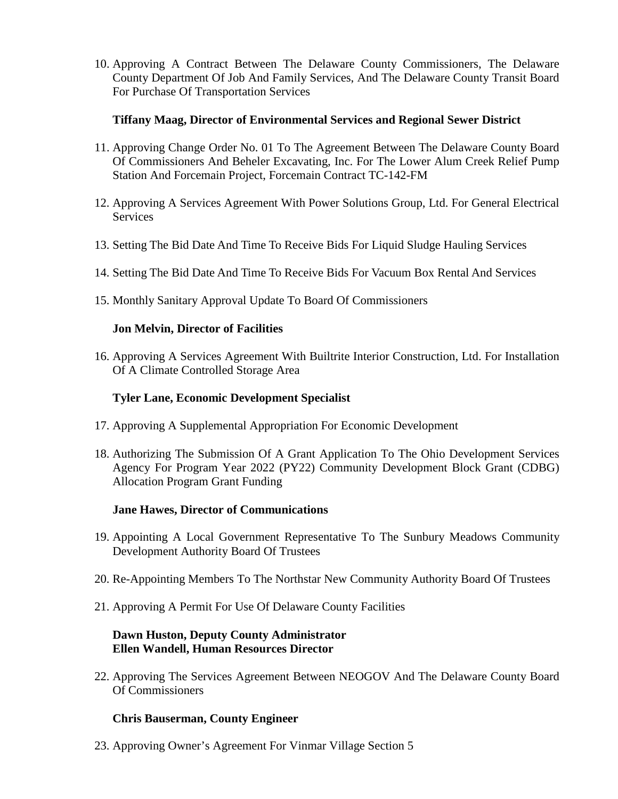10. Approving A Contract Between The Delaware County Commissioners, The Delaware County Department Of Job And Family Services, And The Delaware County Transit Board For Purchase Of Transportation Services

## **Tiffany Maag, Director of Environmental Services and Regional Sewer District**

- 11. Approving Change Order No. 01 To The Agreement Between The Delaware County Board Of Commissioners And Beheler Excavating, Inc. For The Lower Alum Creek Relief Pump Station And Forcemain Project, Forcemain Contract TC-142-FM
- 12. Approving A Services Agreement With Power Solutions Group, Ltd. For General Electrical **Services**
- 13. Setting The Bid Date And Time To Receive Bids For Liquid Sludge Hauling Services
- 14. Setting The Bid Date And Time To Receive Bids For Vacuum Box Rental And Services
- 15. Monthly Sanitary Approval Update To Board Of Commissioners

### **Jon Melvin, Director of Facilities**

16. Approving A Services Agreement With Builtrite Interior Construction, Ltd. For Installation Of A Climate Controlled Storage Area

### **Tyler Lane, Economic Development Specialist**

- 17. Approving A Supplemental Appropriation For Economic Development
- 18. Authorizing The Submission Of A Grant Application To The Ohio Development Services Agency For Program Year 2022 (PY22) Community Development Block Grant (CDBG) Allocation Program Grant Funding

### **Jane Hawes, Director of Communications**

- 19. Appointing A Local Government Representative To The Sunbury Meadows Community Development Authority Board Of Trustees
- 20. Re-Appointing Members To The Northstar New Community Authority Board Of Trustees
- 21. Approving A Permit For Use Of Delaware County Facilities

## **Dawn Huston, Deputy County Administrator Ellen Wandell, Human Resources Director**

22. Approving The Services Agreement Between NEOGOV And The Delaware County Board Of Commissioners

### **Chris Bauserman, County Engineer**

23. Approving Owner's Agreement For Vinmar Village Section 5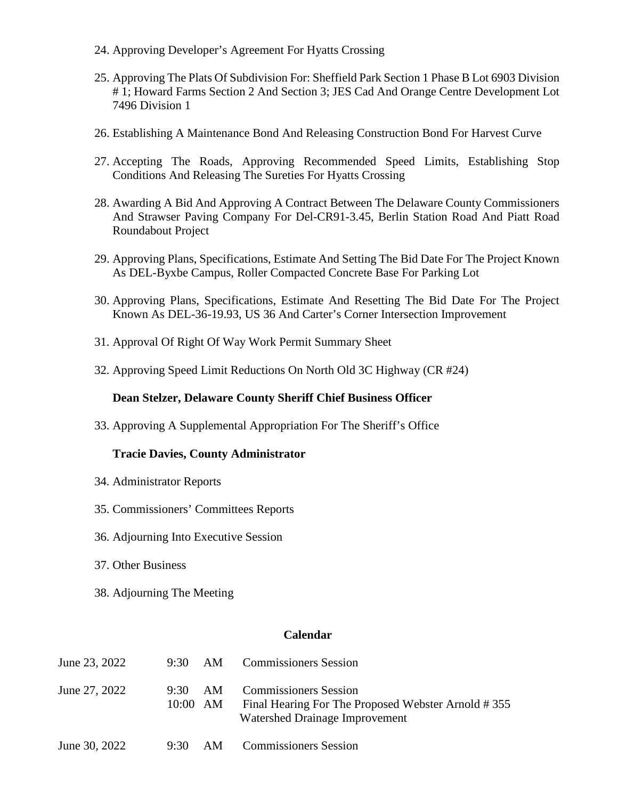- 24. Approving Developer's Agreement For Hyatts Crossing
- 25. Approving The Plats Of Subdivision For: Sheffield Park Section 1 Phase B Lot 6903 Division # 1; Howard Farms Section 2 And Section 3; JES Cad And Orange Centre Development Lot 7496 Division 1
- 26. Establishing A Maintenance Bond And Releasing Construction Bond For Harvest Curve
- 27. Accepting The Roads, Approving Recommended Speed Limits, Establishing Stop Conditions And Releasing The Sureties For Hyatts Crossing
- 28. Awarding A Bid And Approving A Contract Between The Delaware County Commissioners And Strawser Paving Company For Del-CR91-3.45, Berlin Station Road And Piatt Road Roundabout Project
- 29. Approving Plans, Specifications, Estimate And Setting The Bid Date For The Project Known As DEL-Byxbe Campus, Roller Compacted Concrete Base For Parking Lot
- 30. Approving Plans, Specifications, Estimate And Resetting The Bid Date For The Project Known As DEL-36-19.93, US 36 And Carter's Corner Intersection Improvement
- 31. Approval Of Right Of Way Work Permit Summary Sheet
- 32. Approving Speed Limit Reductions On North Old 3C Highway (CR #24)

#### **Dean Stelzer, Delaware County Sheriff Chief Business Officer**

33. Approving A Supplemental Appropriation For The Sheriff's Office

#### **Tracie Davies, County Administrator**

- 34. Administrator Reports
- 35. Commissioners' Committees Reports
- 36. Adjourning Into Executive Session
- 37. Other Business
- 38. Adjourning The Meeting

#### **Calendar**

| June 23, 2022 |                  |      | 9:30 AM Commissioners Session                                                                                        |
|---------------|------------------|------|----------------------------------------------------------------------------------------------------------------------|
| June 27, 2022 | 9:30<br>10:00 AM | - AM | <b>Commissioners Session</b><br>Final Hearing For The Proposed Webster Arnold #355<br>Watershed Drainage Improvement |
| June 30, 2022 | $9:30$ AM        |      | <b>Commissioners Session</b>                                                                                         |